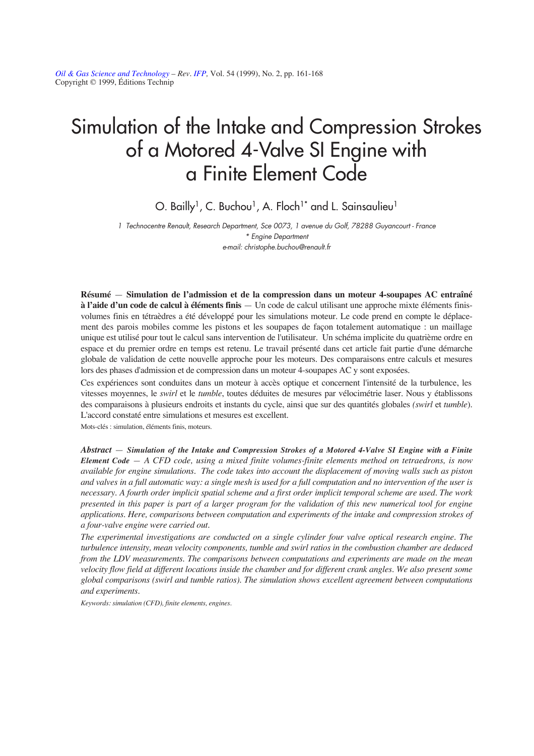*[Oil & Gas Science and Technology](http://ogst.ifp.fr/) – Rev. [IFP,](http://www.ifp.fr/)* Vol. 54 (1999), No. 2, pp. 161-168 Copyright © 1999, Éditions Technip

# Simulation of the Intake and Compression Strokes of a Motored 4-Valve SI Engine with a Finite Element Code

O. Bailly<sup>1</sup>, C. Buchou<sup>1</sup>, A. Floch<sup>1\*</sup> and L. Sainsaulieu<sup>1</sup>

1 Technocentre Renault, Research Department, Sce 0073, 1 avenue du Golf, 78288 Guyancourt - France \* Engine Department e-mail: christophe.buchou@renault.fr

**Résumé** — **Simulation de l'admission et de la compression dans un moteur 4-soupapes AC entraîné à l'aide d'un code de calcul à éléments finis** — Un code de calcul utilisant une approche mixte éléments finisvolumes finis en tétraèdres a été développé pour les simulations moteur. Le code prend en compte le déplacement des parois mobiles comme les pistons et les soupapes de façon totalement automatique : un maillage unique est utilisé pour tout le calcul sans intervention de l'utilisateur. Un schéma implicite du quatrième ordre en espace et du premier ordre en temps est retenu. Le travail présenté dans cet article fait partie d'une démarche globale de validation de cette nouvelle approche pour les moteurs. Des comparaisons entre calculs et mesures lors des phases d'admission et de compression dans un moteur 4-soupapes AC y sont exposées.

Ces expériences sont conduites dans un moteur à accès optique et concernent l'intensité de la turbulence, les vitesses moyennes, le *swirl* et le *tumble*, toutes déduites de mesures par vélocimétrie laser. Nous y établissons des comparaisons à plusieurs endroits et instants du cycle, ainsi que sur des quantités globales *(swirl* et *tumble*). L'accord constaté entre simulations et mesures est excellent.

Mots-clés : simulation, éléments finis, moteurs.

*Abstract* — *Simulation of the Intake and Compression Strokes of a Motored 4-Valve SI Engine with a Finite Element Code — A CFD code, using a mixed finite volumes-finite elements method on tetraedrons, is now available for engine simulations. The code takes into account the displacement of moving walls such as piston and valves in a full automatic way: a single mesh is used for a full computation and no intervention of the user is necessary. A fourth order implicit spatial scheme and a first order implicit temporal scheme are used. The work presented in this paper is part of a larger program for the validation of this new numerical tool for engine applications. Here, comparisons between computation and experiments of the intake and compression strokes of a four-valve engine were carried out.* 

*The experimental investigations are conducted on a single cylinder four valve optical research engine. The turbulence intensity, mean velocity components, tumble and swirl ratios in the combustion chamber are deduced from the LDV measurements. The comparisons between computations and experiments are made on the mean velocity flow field at different locations inside the chamber and for different crank angles. We also present some global comparisons (swirl and tumble ratios). The simulation shows excellent agreement between computations and experiments.*

*Keywords: simulation (CFD), finite elements, engines.*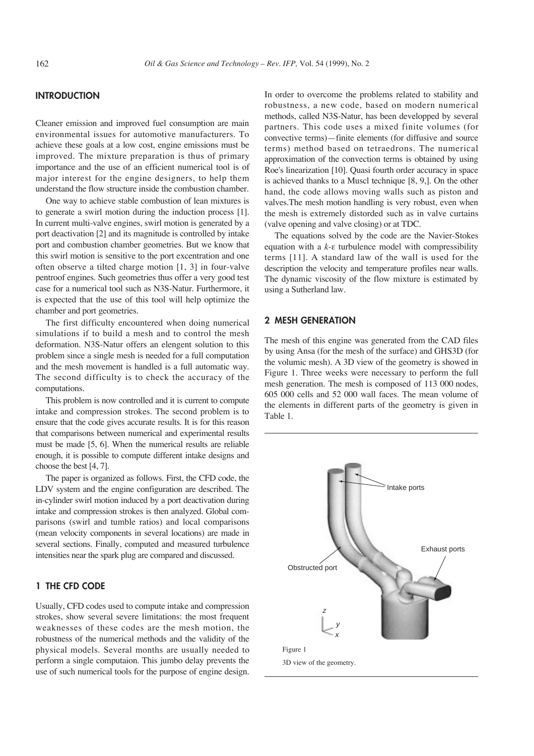# **INTRODUCTION**

Cleaner emission and improved fuel consumption are main environmental issues for automotive manufacturers. To achieve these goals at a low cost, engine emissions must be improved. The mixture preparation is thus of primary importance and the use of an efficient numerical tool is of major interest for the engine designers, to help them understand the flow structure inside the combustion chamber.

One way to achieve stable combustion of lean mixtures is to generate a swirl motion during the induction process [1]. In current multi-valve engines, swirl motion is generated by a port deactivation [2] and its magnitude is controlled by intake port and combustion chamber geometries. But we know that this swirl motion is sensitive to the port excentration and one often observe a tilted charge motion [1, 3] in four-valve pentroof engines. Such geometries thus offer a very good test case for a numerical tool such as N3S-Natur. Furthermore, it is expected that the use of this tool will help optimize the chamber and port geometries.

The first difficulty encountered when doing numerical simulations if to build a mesh and to control the mesh deformation. N3S-Natur offers an elengent solution to this problem since a single mesh is needed for a full computation and the mesh movement is handled is a full automatic way. The second difficulty is to check the accuracy of the computations.

This problem is now controlled and it is current to compute intake and compression strokes. The second problem is to ensure that the code gives accurate results. It is for this reason that comparisons between numerical and experimental results must be made [5, 6]. When the numerical results are reliable enough, it is possible to compute different intake designs and choose the best [4, 7].

The paper is organized as follows. First, the CFD code, the LDV system and the engine configuration are described. The in-cylinder swirl motion induced by a port deactivation during intake and compression strokes is then analyzed. Global comparisons (swirl and tumble ratios) and local comparisons (mean velocity components in several locations) are made in several sections. Finally, computed and measured turbulence intensities near the spark plug are compared and discussed.

# **1 THE CFD CODE**

Usually, CFD codes used to compute intake and compression strokes, show several severe limitations: the most frequent weaknesses of these codes are the mesh motion, the robustness of the numerical methods and the validity of the physical models. Several months are usually needed to perform a single computaion. This jumbo delay prevents the use of such numerical tools for the purpose of engine design. In order to overcome the problems related to stability and robustness, a new code, based on modern numerical methods, called N3S-Natur, has been developped by several partners. This code uses a mixed finite volumes (for convective terms)—finite elements (for diffusive and source terms) method based on tetraedrons. The numerical approximation of the convection terms is obtained by using Roe's linearization [10]. Quasi fourth order accuracy in space is achieved thanks to a Muscl technique [8, 9,]. On the other hand, the code allows moving walls such as piston and valves.The mesh motion handling is very robust, even when the mesh is extremely distorded such as in valve curtains (valve opening and valve closing) or at TDC.

The equations solved by the code are the Navier-Stokes equation with a *k*-e turbulence model with compressibility terms [11]. A standard law of the wall is used for the description the velocity and temperature profiles near walls. The dynamic viscosity of the flow mixture is estimated by using a Sutherland law.

# **2 MESH GENERATION**

The mesh of this engine was generated from the CAD files by using Ansa (for the mesh of the surface) and GHS3D (for the volumic mesh). A 3D view of the geometry is showed in Figure 1. Three weeks were necessary to perform the full mesh generation. The mesh is composed of 113 000 nodes, 605 000 cells and 52 000 wall faces. The mean volume of the elements in different parts of the geometry is given in Table 1.

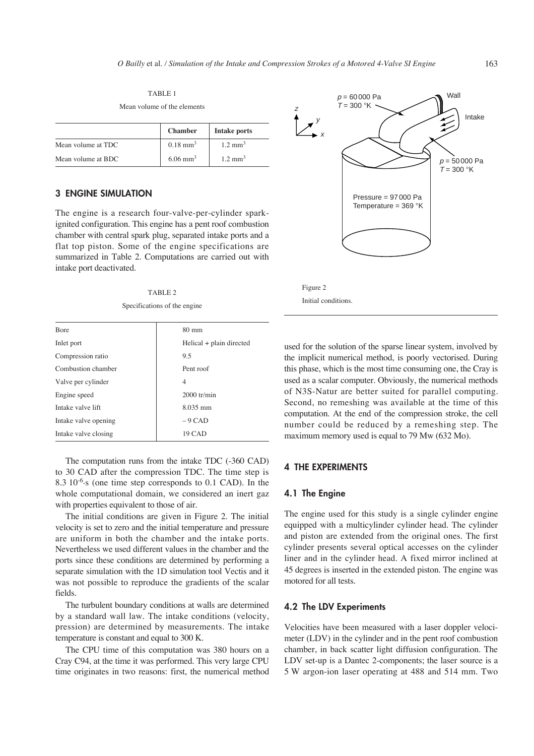TABLE 1 Mean volume of the elements

|                    | <b>Chamber</b>         | Intake ports       |
|--------------------|------------------------|--------------------|
| Mean volume at TDC | $0.18 \text{ mm}^3$    | $1.2 \text{ mm}^3$ |
| Mean volume at BDC | $6.06$ mm <sup>3</sup> | $1.2 \text{ mm}^3$ |

## **3 ENGINE SIMULATION**

The engine is a research four-valve-per-cylinder sparkignited configuration. This engine has a pent roof combustion chamber with central spark plug, separated intake ports and a flat top piston. Some of the engine specifications are summarized in Table 2. Computations are carried out with intake port deactivated.

TABLE 2

| Specifications of the engine |  |  |
|------------------------------|--|--|
|                              |  |  |

| <b>B</b> ore         | $80 \text{ mm}$            |  |
|----------------------|----------------------------|--|
| Inlet port           | $Helical + plain directed$ |  |
| Compression ratio    | 9.5                        |  |
| Combustion chamber   | Pent roof                  |  |
| Valve per cylinder   | 4                          |  |
| Engine speed         | $2000$ tr/min              |  |
| Intake valve lift    | $8.035$ mm                 |  |
| Intake valve opening | $-9$ CAD                   |  |
| Intake valve closing | <b>19 CAD</b>              |  |
|                      |                            |  |

The computation runs from the intake TDC (-360 CAD) to 30 CAD after the compression TDC. The time step is 8.3 10-6.s (one time step corresponds to 0.1 CAD). In the whole computational domain, we considered an inert gaz with properties equivalent to those of air.

The initial conditions are given in Figure 2. The initial velocity is set to zero and the initial temperature and pressure are uniform in both the chamber and the intake ports. Nevertheless we used different values in the chamber and the ports since these conditions are determined by performing a separate simulation with the 1D simulation tool Vectis and it was not possible to reproduce the gradients of the scalar fields.

The turbulent boundary conditions at walls are determined by a standard wall law. The intake conditions (velocity, pression) are determined by measurements. The intake temperature is constant and equal to 300 K.

The CPU time of this computation was 380 hours on a Cray C94, at the time it was performed. This very large CPU time originates in two reasons: first, the numerical method



used for the solution of the sparse linear system, involved by the implicit numerical method, is poorly vectorised. During this phase, which is the most time consuming one, the Cray is used as a scalar computer. Obviously, the numerical methods of N3S-Natur are better suited for parallel computing. Second, no remeshing was available at the time of this computation. At the end of the compression stroke, the cell number could be reduced by a remeshing step. The maximum memory used is equal to 79 Mw (632 Mo).

# **4 THE EXPERIMENTS**

#### **4.1 The Engine**

The engine used for this study is a single cylinder engine equipped with a multicylinder cylinder head. The cylinder and piston are extended from the original ones. The first cylinder presents several optical accesses on the cylinder liner and in the cylinder head. A fixed mirror inclined at 45 degrees is inserted in the extended piston. The engine was motored for all tests.

#### **4.2 The LDV Experiments**

Velocities have been measured with a laser doppler velocimeter (LDV) in the cylinder and in the pent roof combustion chamber, in back scatter light diffusion configuration. The LDV set-up is a Dantec 2-components; the laser source is a 5 W argon-ion laser operating at 488 and 514 mm. Two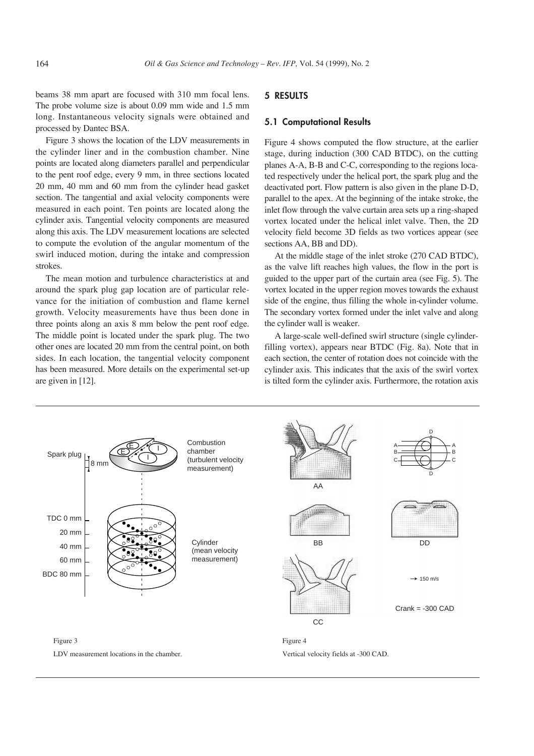beams 38 mm apart are focused with 310 mm focal lens. The probe volume size is about 0.09 mm wide and 1.5 mm long. Instantaneous velocity signals were obtained and processed by Dantec BSA.

Figure 3 shows the location of the LDV measurements in the cylinder liner and in the combustion chamber. Nine points are located along diameters parallel and perpendicular to the pent roof edge, every 9 mm, in three sections located 20 mm, 40 mm and 60 mm from the cylinder head gasket section. The tangential and axial velocity components were measured in each point. Ten points are located along the cylinder axis. Tangential velocity components are measured along this axis. The LDV measurement locations are selected to compute the evolution of the angular momentum of the swirl induced motion, during the intake and compression strokes.

The mean motion and turbulence characteristics at and around the spark plug gap location are of particular relevance for the initiation of combustion and flame kernel growth. Velocity measurements have thus been done in three points along an axis 8 mm below the pent roof edge. The middle point is located under the spark plug. The two other ones are located 20 mm from the central point, on both sides. In each location, the tangential velocity component has been measured. More details on the experimental set-up are given in [12].

#### **5 RESULTS**

#### **5.1 Computational Results**

Figure 4 shows computed the flow structure, at the earlier stage, during induction (300 CAD BTDC), on the cutting planes A-A, B-B and C-C, corresponding to the regions located respectively under the helical port, the spark plug and the deactivated port. Flow pattern is also given in the plane D-D, parallel to the apex. At the beginning of the intake stroke, the inlet flow through the valve curtain area sets up a ring-shaped vortex located under the helical inlet valve. Then, the 2D velocity field become 3D fields as two vortices appear (see sections AA, BB and DD).

At the middle stage of the inlet stroke (270 CAD BTDC), as the valve lift reaches high values, the flow in the port is guided to the upper part of the curtain area (see Fig. 5). The vortex located in the upper region moves towards the exhaust side of the engine, thus filling the whole in-cylinder volume. The secondary vortex formed under the inlet valve and along the cylinder wall is weaker.

A large-scale well-defined swirl structure (single cylinderfilling vortex), appears near BTDC (Fig. 8a). Note that in each section, the center of rotation does not coincide with the cylinder axis. This indicates that the axis of the swirl vortex is tilted form the cylinder axis. Furthermore, the rotation axis



Vertical velocity fields at -300 CAD.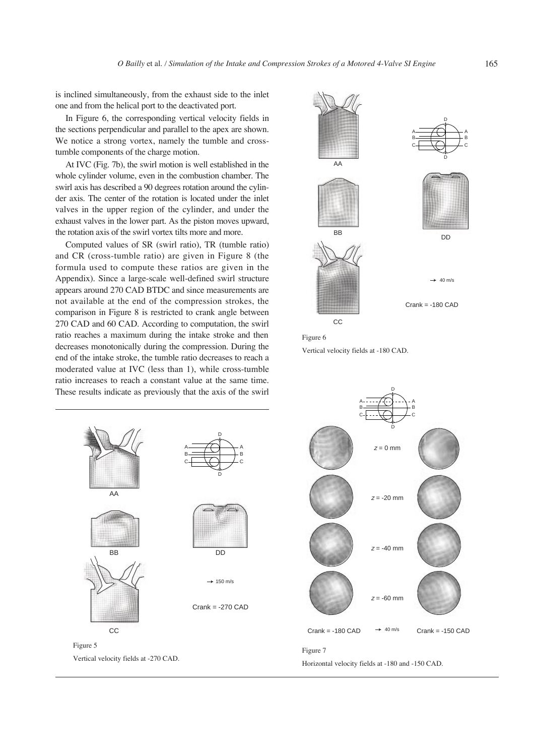is inclined simultaneously, from the exhaust side to the inlet one and from the helical port to the deactivated port.

In Figure 6, the corresponding vertical velocity fields in the sections perpendicular and parallel to the apex are shown. We notice a strong vortex, namely the tumble and crosstumble components of the charge motion.

At IVC (Fig. 7b), the swirl motion is well established in the whole cylinder volume, even in the combustion chamber. The swirl axis has described a 90 degrees rotation around the cylinder axis. The center of the rotation is located under the inlet valves in the upper region of the cylinder, and under the exhaust valves in the lower part. As the piston moves upward, the rotation axis of the swirl vortex tilts more and more.

Computed values of SR (swirl ratio), TR (tumble ratio) and CR (cross-tumble ratio) are given in Figure 8 (the formula used to compute these ratios are given in the Appendix). Since a large-scale well-defined swirl structure appears around 270 CAD BTDC and since measurements are not available at the end of the compression strokes, the comparison in Figure 8 is restricted to crank angle between 270 CAD and 60 CAD. According to computation, the swirl ratio reaches a maximum during the intake stroke and then decreases monotonically during the compression. During the end of the intake stroke, the tumble ratio decreases to reach a moderated value at IVC (less than 1), while cross-tumble ratio increases to reach a constant value at the same time. These results indicate as previously that the axis of the swirl





Vertical velocity fields at -180 CAD.



D D A B C A B C Crank = -180 CAD  $\rightarrow$  40 m/s Crank = -150 CAD  $z = -20$  mm  $z = -40$  mm  $z = -60$  mm  $z = 0$  mm

Horizontal velocity fields at -180 and -150 CAD.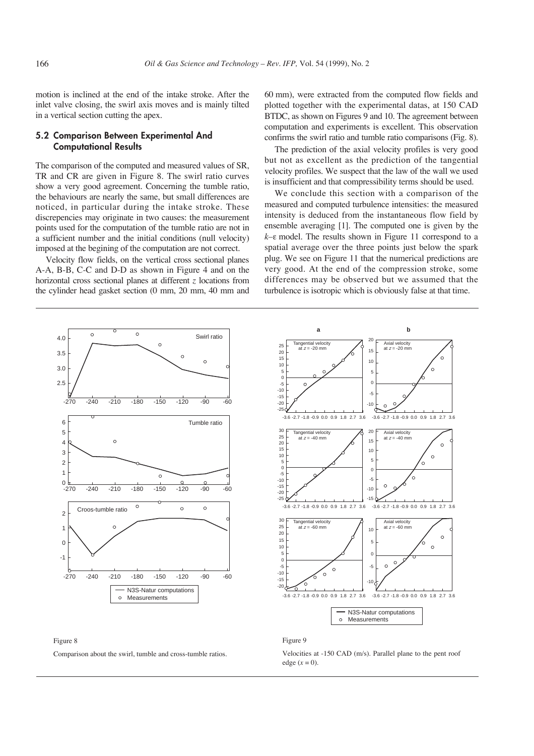motion is inclined at the end of the intake stroke. After the inlet valve closing, the swirl axis moves and is mainly tilted in a vertical section cutting the apex.

## **5.2 Comparison Between Experimental And Computational Results**

The comparison of the computed and measured values of SR, TR and CR are given in Figure 8. The swirl ratio curves show a very good agreement. Concerning the tumble ratio, the behaviours are nearly the same, but small differences are noticed, in particular during the intake stroke. These discrepencies may originate in two causes: the measurement points used for the computation of the tumble ratio are not in a sufficient number and the initial conditions (null velocity) imposed at the begining of the computation are not correct.

Velocity flow fields, on the vertical cross sectional planes A-A, B-B, C-C and D-D as shown in Figure 4 and on the horizontal cross sectional planes at different *z* locations from the cylinder head gasket section (0 mm, 20 mm, 40 mm and

60 mm), were extracted from the computed flow fields and plotted together with the experimental datas, at 150 CAD BTDC, as shown on Figures 9 and 10. The agreement between computation and experiments is excellent. This observation confirms the swirl ratio and tumble ratio comparisons (Fig. 8).

The prediction of the axial velocity profiles is very good but not as excellent as the prediction of the tangential velocity profiles. We suspect that the law of the wall we used is insufficient and that compressibility terms should be used.

We conclude this section with a comparison of the measured and computed turbulence intensities: the measured intensity is deduced from the instantaneous flow field by ensemble averaging [1]. The computed one is given by the *k*–e model. The results shown in Figure 11 correspond to a spatial average over the three points just below the spark plug. We see on Figure 11 that the numerical predictions are very good. At the end of the compression stroke, some differences may be observed but we assumed that the turbulence is isotropic which is obviously false at that time.





Comparison about the swirl, tumble and cross-tumble ratios.



#### Figure 9

Velocities at -150 CAD (m/s). Parallel plane to the pent roof edge  $(x = 0)$ .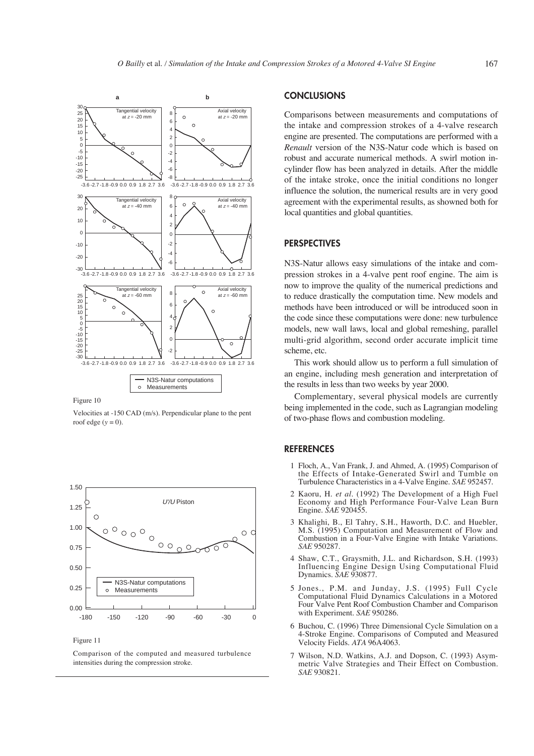

Figure 10

Velocities at -150 CAD (m/s). Perpendicular plane to the pent roof edge  $(y = 0)$ .



Figure 11

Comparison of the computed and measured turbulence intensities during the compression stroke.

## **CONCLUSIONS**

Comparisons between measurements and computations of the intake and compression strokes of a 4-valve research engine are presented. The computations are performed with a *Renault* version of the N3S-Natur code which is based on robust and accurate numerical methods. A swirl motion incylinder flow has been analyzed in details. After the middle of the intake stroke, once the initial conditions no longer influence the solution, the numerical results are in very good agreement with the experimental results, as showned both for local quantities and global quantities.

#### **PERSPECTIVES**

N3S-Natur allows easy simulations of the intake and compression strokes in a 4-valve pent roof engine. The aim is now to improve the quality of the numerical predictions and to reduce drastically the computation time. New models and methods have been introduced or will be introduced soon in the code since these computations were done: new turbulence models, new wall laws, local and global remeshing, parallel multi-grid algorithm, second order accurate implicit time scheme, etc.

This work should allow us to perform a full simulation of an engine, including mesh generation and interpretation of the results in less than two weeks by year 2000.

Complementary, several physical models are currently being implemented in the code, such as Lagrangian modeling of two-phase flows and combustion modeling.

## **REFERENCES**

- 1 Floch, A., Van Frank, J. and Ahmed, A. (1995) Comparison of the Effects of Intake-Generated Swirl and Tumble on Turbulence Characteristics in a 4-Valve Engine. *SAE* 952457.
- 2 Kaoru, H. *et al*. (1992) The Development of a High Fuel Economy and High Performance Four-Valve Lean Burn Engine. *SAE* 920455.
- 3 Khalighi, B., El Tahry, S.H., Haworth, D.C. and Huebler, M.S. (1995) Computation and Measurement of Flow and Combustion in a Four-Valve Engine with Intake Variations. *SAE* 950287.
- 4 Shaw, C.T., Graysmith, J.L. and Richardson, S.H. (1993) Influencing Engine Design Using Computational Fluid Dynamics. *SAE* 930877.
- 5 Jones., P.M. and Junday, J.S. (1995) Full Cycle Computational Fluid Dynamics Calculations in a Motored Four Valve Pent Roof Combustion Chamber and Comparison with Experiment. *SAE* 950286.
- 6 Buchou, C. (1996) Three Dimensional Cycle Simulation on a 4-Stroke Engine. Comparisons of Computed and Measured Velocity Fields. *ATA* 96A4063.
- 7 Wilson, N.D. Watkins, A.J. and Dopson, C. (1993) Asymmetric Valve Strategies and Their Effect on Combustion. *SAE* 930821.